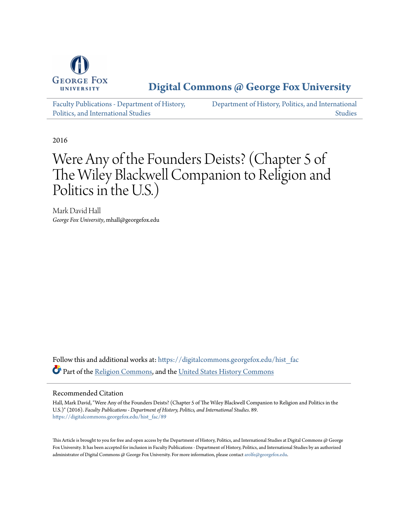

## **[Digital Commons @ George Fox University](https://digitalcommons.georgefox.edu?utm_source=digitalcommons.georgefox.edu%2Fhist_fac%2F89&utm_medium=PDF&utm_campaign=PDFCoverPages)**

[Faculty Publications - Department of History,](https://digitalcommons.georgefox.edu/hist_fac?utm_source=digitalcommons.georgefox.edu%2Fhist_fac%2F89&utm_medium=PDF&utm_campaign=PDFCoverPages) [Politics, and International Studies](https://digitalcommons.georgefox.edu/hist_fac?utm_source=digitalcommons.georgefox.edu%2Fhist_fac%2F89&utm_medium=PDF&utm_campaign=PDFCoverPages)

[Department of History, Politics, and International](https://digitalcommons.georgefox.edu/hist?utm_source=digitalcommons.georgefox.edu%2Fhist_fac%2F89&utm_medium=PDF&utm_campaign=PDFCoverPages) [Studies](https://digitalcommons.georgefox.edu/hist?utm_source=digitalcommons.georgefox.edu%2Fhist_fac%2F89&utm_medium=PDF&utm_campaign=PDFCoverPages)

2016

## Were Any of the Founders Deists? (Chapter 5 of The Wiley Blackwell Companion to Religion and Politics in the U.S.)

Mark David Hall *George Fox University*, mhall@georgefox.edu

Follow this and additional works at: [https://digitalcommons.georgefox.edu/hist\\_fac](https://digitalcommons.georgefox.edu/hist_fac?utm_source=digitalcommons.georgefox.edu%2Fhist_fac%2F89&utm_medium=PDF&utm_campaign=PDFCoverPages) Part of the [Religion Commons](http://network.bepress.com/hgg/discipline/538?utm_source=digitalcommons.georgefox.edu%2Fhist_fac%2F89&utm_medium=PDF&utm_campaign=PDFCoverPages), and the [United States History Commons](http://network.bepress.com/hgg/discipline/495?utm_source=digitalcommons.georgefox.edu%2Fhist_fac%2F89&utm_medium=PDF&utm_campaign=PDFCoverPages)

### Recommended Citation

Hall, Mark David, "Were Any of the Founders Deists? (Chapter 5 of The Wiley Blackwell Companion to Religion and Politics in the U.S.)" (2016). *Faculty Publications - Department of History, Politics, and International Studies*. 89. [https://digitalcommons.georgefox.edu/hist\\_fac/89](https://digitalcommons.georgefox.edu/hist_fac/89?utm_source=digitalcommons.georgefox.edu%2Fhist_fac%2F89&utm_medium=PDF&utm_campaign=PDFCoverPages)

This Article is brought to you for free and open access by the Department of History, Politics, and International Studies at Digital Commons @ George Fox University. It has been accepted for inclusion in Faculty Publications - Department of History, Politics, and International Studies by an authorized administrator of Digital Commons @ George Fox University. For more information, please contact [arolfe@georgefox.edu.](mailto:arolfe@georgefox.edu)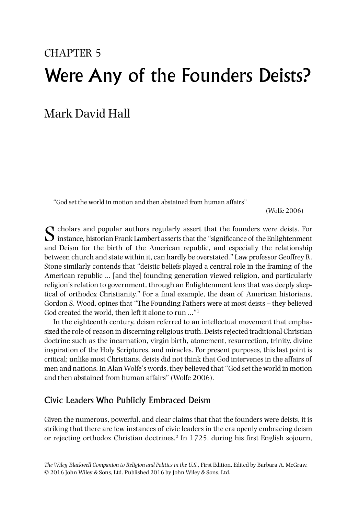# CHAPTER 5 Were Any of the Founders Deists?

Mark David Hall

"God set the world in motion and then abstained from human affairs"

(Wolfe 2006)

Scholars and popular authors regularly assert that the founders were deists. For  $\sum$  instance, historian Frank Lambert asserts that the "significance of the Enlightenment" and Deism for the birth of the American republic, and especially the relationship between church and state within it, can hardly be overstated." Law professor Geoffrey R. Stone similarly contends that "deistic beliefs played a central role in the framing of the American republic … [and the] founding generation viewed religion, and particularly religion's relation to government, through an Enlightenment lens that was deeply skeptical of orthodox Christianity." For a final example, the dean of American historians, Gordon S. Wood, opines that "The Founding Fathers were at most deists – they believed God created the world, then left it alone to run …"1

In the eighteenth century, deism referred to an intellectual movement that emphasized the role of reason in discerning religious truth. Deists rejected traditional Christian doctrine such as the incarnation, virgin birth, atonement, resurrection, trinity, divine inspiration of the Holy Scriptures, and miracles. For present purposes, this last point is critical; unlike most Christians, deists did not think that God intervenes in the affairs of men and nations. In Alan Wolfe's words, they believed that "God set the world in motion and then abstained from human affairs" (Wolfe 2006).

## Civic Leaders Who Publicly Embraced Deism

Given the numerous, powerful, and clear claims that that the founders were deists, it is striking that there are few instances of civic leaders in the era openly embracing deism or rejecting orthodox Christian doctrines.2 In 1725, during his first English sojourn,

*The Wiley Blackwell Companion to Religion and Politics in the U.S.*, First Edition. Edited by Barbara A. McGraw. © 2016 John Wiley & Sons, Ltd. Published 2016 by John Wiley & Sons, Ltd.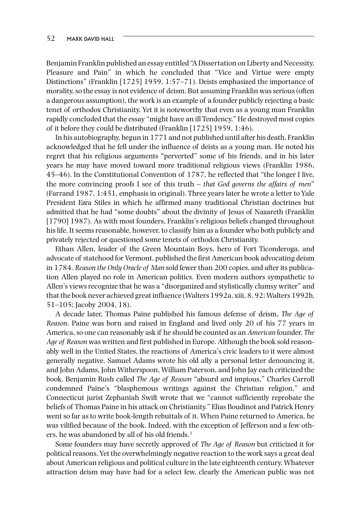Benjamin Franklin published an essay entitled "A Dissertation on Liberty and Necessity, Pleasure and Pain" in which he concluded that "Vice and Virtue were empty Distinctions" (Franklin [1725] 1959, 1:57–71). Deists emphasized the importance of morality, so the essay is not evidence of deism. But assuming Franklin was serious (often a dangerous assumption), the work is an example of a founder publicly rejecting a basic tenet of orthodox Christianity. Yet it is noteworthy that even as a young man Franklin rapidly concluded that the essay "might have an ill Tendency." He destroyed most copies of it before they could be distributed (Franklin [1725] 1959, 1:46).

In his autobiography, begun in 1771 and not published until after his death, Franklin acknowledged that he fell under the influence of deists as a young man. He noted his regret that his religious arguments "perverted" some of his friends, and in his later years he may have moved toward more traditional religious views (Franklin 1986, 45–46). In the Constitutional Convention of 1787, he reflected that "the longer I live, the more convincing proofs I see of this truth – *that God governs the affairs of men*" (Farrand 1987, 1:451, emphasis in original). Three years later he wrote a letter to Yale President Ezra Stiles in which he affirmed many traditional Christian doctrines but admitted that he had "some doubts" about the divinity of Jesus of Nazareth (Franklin [1790] 1987). As with most founders, Franklin's religious beliefs changed throughout his life. It seems reasonable, however, to classify him as a founder who both publicly and privately rejected or questioned some tenets of orthodox Christianity.

Ethan Allen, leader of the Green Mountain Boys, hero of Fort Ticonderoga, and advocate of statehood for Vermont, published the first American book advocating deism in 1784. *Reason the Only Oracle of Man* sold fewer than 200 copies, and after its publication Allen played no role in American politics. Even modern authors sympathetic to Allen's views recognize that he was a "disorganized and stylistically clumsy writer" and that the book never achieved great influence (Walters 1992a, xiii, 8, 92; Walters 1992b, 51–105; Jacoby 2004, 18).

A decade later, Thomas Paine published his famous defense of deism, *The Age of Reason*. Paine was born and raised in England and lived only 20 of his 77 years in America, so one can reasonably ask if he should be counted as an *American* founder. *The Age of Reason* was written and first published in Europe. Although the book sold reasonably well in the United States, the reactions of America's civic leaders to it were almost generally negative. Samuel Adams wrote his old ally a personal letter denouncing it, and John Adams, John Witherspoon, William Paterson, and John Jay each criticized the book. Benjamin Rush called *The Age of Reason* "absurd and impious," Charles Carroll condemned Paine's "blasphemous writings against the Christian religion," and Connecticut jurist Zephaniah Swift wrote that we "cannot sufficiently reprobate the beliefs of Thomas Paine in his attack on Christianity." Elias Boudinot and Patrick Henry went so far as to write book‐length rebuttals of it. When Paine returned to America, he was vilified because of the book. Indeed, with the exception of Jefferson and a few others, he was abandoned by all of his old friends.3

Some founders may have secretly approved of *The Age of Reason* but criticized it for political reasons. Yet the overwhelmingly negative reaction to the work says a great deal about American religious and political culture in the late eighteenth century. Whatever attraction deism may have had for a select few, clearly the American public was not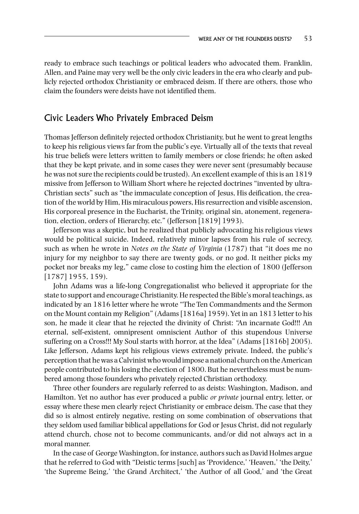ready to embrace such teachings or political leaders who advocated them. Franklin, Allen, and Paine may very well be the only civic leaders in the era who clearly and publicly rejected orthodox Christianity or embraced deism. If there are others, those who claim the founders were deists have not identified them.

## Civic Leaders Who Privately Embraced Deism

Thomas Jefferson definitely rejected orthodox Christianity, but he went to great lengths to keep his religious views far from the public's eye. Virtually all of the texts that reveal his true beliefs were letters written to family members or close friends; he often asked that they be kept private, and in some cases they were never sent (presumably because he was not sure the recipients could be trusted). An excellent example of this is an 1819 missive from Jefferson to William Short where he rejected doctrines "invented by ultra‐ Christian sects" such as "the immaculate conception of Jesus, His deification, the creation of the world by Him, His miraculous powers, His resurrection and visible ascension, His corporeal presence in the Eucharist, the Trinity, original sin, atonement, regeneration, election, orders of Hierarchy, etc." (Jefferson [1819] 1993).

Jefferson was a skeptic, but he realized that publicly advocating his religious views would be political suicide. Indeed, relatively minor lapses from his rule of secrecy, such as when he wrote in *Notes on the State of Virginia* (1787) that "it does me no injury for my neighbor to say there are twenty gods, or no god. It neither picks my pocket nor breaks my leg," came close to costing him the election of 1800 (Jefferson [1787] 1955, 159).

John Adams was a life‐long Congregationalist who believed it appropriate for the state to support and encourage Christianity. He respected the Bible's moral teachings, as indicated by an 1816 letter where he wrote "The Ten Commandments and the Sermon on the Mount contain my Religion" (Adams [1816a] 1959). Yet in an 1813 letter to his son, he made it clear that he rejected the divinity of Christ: "An incarnate God!!! An eternal, self‐existent, omnipresent omniscient Author of this stupendous Universe suffering on a Cross!!! My Soul starts with horror, at the Idea" (Adams [1816b] 2005). Like Jefferson, Adams kept his religious views extremely private. Indeed, the public's perception that he was a Calvinist who would impose a national church on the American people contributed to his losing the election of 1800. But he nevertheless must be numbered among those founders who privately rejected Christian orthodoxy.

Three other founders are regularly referred to as deists: Washington, Madison, and Hamilton. Yet no author has ever produced a public *or private* journal entry, letter, or essay where these men clearly reject Christianity or embrace deism. The case that they did so is almost entirely negative, resting on some combination of observations that they seldom used familiar biblical appellations for God or Jesus Christ, did not regularly attend church, chose not to become communicants, and/or did not always act in a moral manner.

In the case of George Washington, for instance, authors such as David Holmes argue that he referred to God with "Deistic terms [such] as 'Providence,' 'Heaven,' 'the Deity,' 'the Supreme Being,' 'the Grand Architect,' 'the Author of all Good,' and 'the Great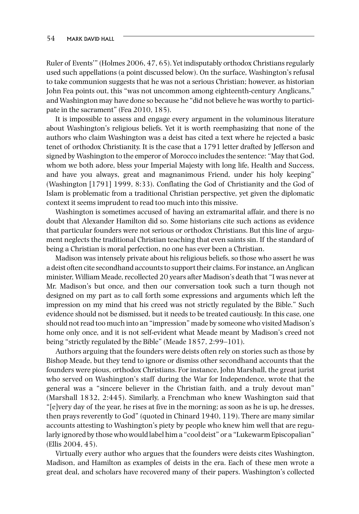Ruler of Events'" (Holmes 2006, 47, 65). Yet indisputably orthodox Christians regularly used such appellations (a point discussed below). On the surface, Washington's refusal to take communion suggests that he was not a serious Christian; however, as historian John Fea points out, this "was not uncommon among eighteenth‐century Anglicans," and Washington may have done so because he "did not believe he was worthy to participate in the sacrament" (Fea 2010, 185).

It is impossible to assess and engage every argument in the voluminous literature about Washington's religious beliefs. Yet it is worth reemphasizing that none of the authors who claim Washington was a deist has cited a text where he rejected a basic tenet of orthodox Christianity. It is the case that a 1791 letter drafted by Jefferson and signed by Washington to the emperor of Morocco includes the sentence: "May that God, whom we both adore, bless your Imperial Majesty with long life, Health and Success, and have you always, great and magnanimous Friend, under his holy keeping" (Washington [1791] 1999, 8:33). Conflating the God of Christianity and the God of Islam is problematic from a traditional Christian perspective, yet given the diplomatic context it seems imprudent to read too much into this missive.

Washington is sometimes accused of having an extramarital affair, and there is no doubt that Alexander Hamilton did so. Some historians cite such actions as evidence that particular founders were not serious or orthodox Christians. But this line of argument neglects the traditional Christian teaching that even saints sin. If the standard of being a Christian is moral perfection, no one has ever been a Christian.

Madison was intensely private about his religious beliefs, so those who assert he was a deist often cite secondhand accounts to support their claims. For instance, an Anglican minister, William Meade, recollected 20 years after Madison's death that "I was never at Mr. Madison's but once, and then our conversation took such a turn though not designed on my part as to call forth some expressions and arguments which left the impression on my mind that his creed was not strictly regulated by the Bible." Such evidence should not be dismissed, but it needs to be treated cautiously. In this case, one should not read too much into an "impression" made by someone who visited Madison's home only once, and it is not self‐evident what Meade meant by Madison's creed not being "strictly regulated by the Bible" (Meade 1857, 2:99–101).

Authors arguing that the founders were deists often rely on stories such as those by Bishop Meade, but they tend to ignore or dismiss other secondhand accounts that the founders were pious, orthodox Christians. For instance, John Marshall, the great jurist who served on Washington's staff during the War for Independence, wrote that the general was a "sincere believer in the Christian faith, and a truly devout man" (Marshall 1832, 2:445). Similarly, a Frenchman who knew Washington said that "[e]very day of the year, he rises at five in the morning; as soon as he is up, he dresses, then prays reverently to God" (quoted in Chinard 1940, 119). There are many similar accounts attesting to Washington's piety by people who knew him well that are regularly ignored by those who would label him a "cool deist" or a "Lukewarm Episcopalian" (Ellis 2004, 45).

Virtually every author who argues that the founders were deists cites Washington, Madison, and Hamilton as examples of deists in the era. Each of these men wrote a great deal, and scholars have recovered many of their papers. Washington's collected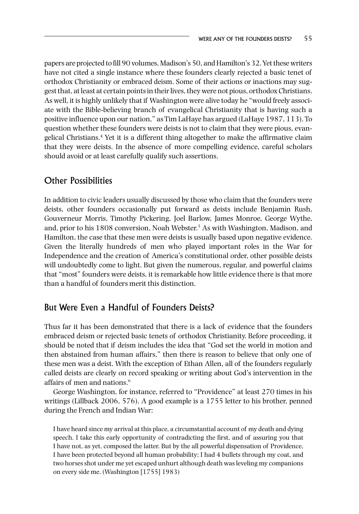papers are projected to fill 90 volumes, Madison's 50, and Hamilton's 32. Yet these writers have not cited a single instance where these founders clearly rejected a basic tenet of orthodox Christianity or embraced deism. Some of their actions or inactions may suggest that, at least at certain points in their lives, they were not pious, orthodox Christians. As well, it is highly unlikely that if Washington were alive today he "would freely associate with the Bible‐believing branch of evangelical Christianity that is having such a positive influence upon our nation," as Tim LaHaye has argued (LaHaye 1987, 113). To question whether these founders were deists is not to claim that they were pious, evangelical Christians.4 Yet it is a different thing altogether to make the affirmative claim that they were deists. In the absence of more compelling evidence, careful scholars should avoid or at least carefully qualify such assertions.

## Other Possibilities

In addition to civic leaders usually discussed by those who claim that the founders were deists, other founders occasionally put forward as deists include Benjamin Rush, Gouverneur Morris, Timothy Pickering, Joel Barlow, James Monroe, George Wythe, and, prior to his 1808 conversion, Noah Webster.<sup>5</sup> As with Washington, Madison, and Hamilton, the case that these men were deists is usually based upon negative evidence. Given the literally hundreds of men who played important roles in the War for Independence and the creation of America's constitutional order, other possible deists will undoubtedly come to light. But given the numerous, regular, and powerful claims that "most" founders were deists, it is remarkable how little evidence there is that more than a handful of founders merit this distinction.

## But Were Even a Handful of Founders Deists?

Thus far it has been demonstrated that there is a lack of evidence that the founders embraced deism or rejected basic tenets of orthodox Christianity. Before proceeding, it should be noted that if deism includes the idea that "God set the world in motion and then abstained from human affairs," then there is reason to believe that only one of these men was a deist. With the exception of Ethan Allen, all of the founders regularly called deists are clearly on record speaking or writing about God's intervention in the affairs of men and nations.6

George Washington, for instance, referred to "Providence" at least 270 times in his writings (Lillback 2006, 576). A good example is a 1755 letter to his brother, penned during the French and Indian War:

I have heard since my arrival at this place, a circumstantial account of my death and dying speech. I take this early opportunity of contradicting the first, and of assuring you that I have not, as yet, composed the latter. But by the all powerful dispensation of Providence, I have been protected beyond all human probability; I had 4 bullets through my coat, and two horses shot under me yet escaped unhurt although death was leveling my companions on every side me. (Washington [1755] 1983)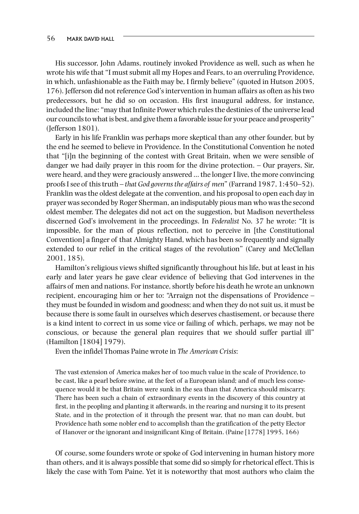His successor, John Adams, routinely invoked Providence as well, such as when he wrote his wife that "I must submit all my Hopes and Fears, to an overruling Providence, in which, unfashionable as the Faith may be, I firmly believe" (quoted in Hutson 2005, 176). Jefferson did not reference God's intervention in human affairs as often as his two predecessors, but he did so on occasion. His first inaugural address, for instance, included the line: "may that Infinite Power which rules the destinies of the universe lead our councils to what is best, and give them a favorable issue for your peace and prosperity" (Jefferson 1801).

Early in his life Franklin was perhaps more skeptical than any other founder, but by the end he seemed to believe in Providence. In the Constitutional Convention he noted that "[i]n the beginning of the contest with Great Britain, when we were sensible of danger we had daily prayer in this room for the divine protection. – Our prayers, Sir, were heard, and they were graciously answered … the longer I live, the more convincing proofs I see of this truth – *that God governs the affairs of men*" (Farrand 1987, 1:450–52). Franklin was the oldest delegate at the convention, and his proposal to open each day in prayer was seconded by Roger Sherman, an indisputably pious man who was the second oldest member. The delegates did not act on the suggestion, but Madison nevertheless discerned God's involvement in the proceedings. In *Federalist* No. 37 he wrote: "It is impossible, for the man of pious reflection, not to perceive in [the Constitutional Convention] a finger of that Almighty Hand, which has been so frequently and signally extended to our relief in the critical stages of the revolution" (Carey and McClellan 2001, 185).

Hamilton's religious views shifted significantly throughout his life, but at least in his early and later years he gave clear evidence of believing that God intervenes in the affairs of men and nations. For instance, shortly before his death he wrote an unknown recipient, encouraging him or her to: "Arraign not the dispensations of Providence – they must be founded in wisdom and goodness; and when they do not suit us, it must be because there is some fault in ourselves which deserves chastisement, or because there is a kind intent to correct in us some vice or failing of which, perhaps, we may not be conscious, or because the general plan requires that we should suffer partial ill" (Hamilton [1804] 1979).

Even the infidel Thomas Paine wrote in *The American Crisis*:

The vast extension of America makes her of too much value in the scale of Providence, to be cast, like a pearl before swine, at the feet of a European island; and of much less consequence would it be that Britain were sunk in the sea than that America should miscarry. There has been such a chain of extraordinary events in the discovery of this country at first, in the peopling and planting it afterwards, in the rearing and nursing it to its present State, and in the protection of it through the present war, that no man can doubt, but Providence hath some nobler end to accomplish than the gratification of the petty Elector of Hanover or the ignorant and insignificant King of Britain. (Paine [1778] 1995, 166)

Of course, some founders wrote or spoke of God intervening in human history more than others, and it is always possible that some did so simply for rhetorical effect. This is likely the case with Tom Paine. Yet it is noteworthy that most authors who claim the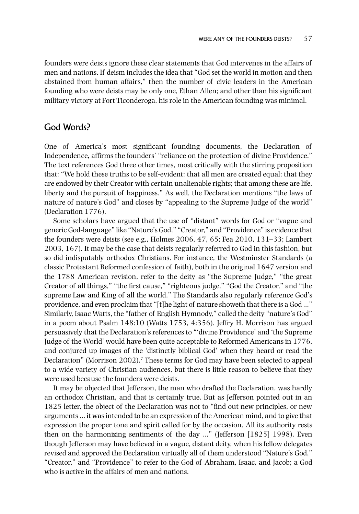founders were deists ignore these clear statements that God intervenes in the affairs of men and nations. If deism includes the idea that "God set the world in motion and then abstained from human affairs," then the number of civic leaders in the American founding who were deists may be only one, Ethan Allen; and other than his significant military victory at Fort Ticonderoga, his role in the American founding was minimal.

## God Words?

One of America's most significant founding documents, the Declaration of Independence, affirms the founders' "reliance on the protection of divine Providence." The text references God three other times, most critically with the stirring proposition that: "We hold these truths to be self‐evident: that all men are created equal; that they are endowed by their Creator with certain unalienable rights; that among these are life, liberty and the pursuit of happiness." As well, the Declaration mentions "the laws of nature of nature's God" and closes by "appealing to the Supreme Judge of the world" (Declaration 1776).

Some scholars have argued that the use of "distant" words for God or "vague and generic God‐language" like "Nature's God," "Creator," and "Providence" is evidence that the founders were deists (see e.g., Holmes 2006, 47, 65; Fea 2010, 131–33; Lambert 2003, 167). It may be the case that deists regularly referred to God in this fashion, but so did indisputably orthodox Christians. For instance, the Westminster Standards (a classic Protestant Reformed confession of faith), both in the original 1647 version and the 1788 American revision, refer to the deity as "the Supreme Judge," "the great Creator of all things," "the first cause," "righteous judge," "God the Creator," and "the supreme Law and King of all the world." The Standards also regularly reference God's providence, and even proclaim that "[t]he light of nature showeth that there is a God …" Similarly, Isaac Watts, the "father of English Hymnody," called the deity "nature's God" in a poem about Psalm 148:10 (Watts 1753, 4:356). Jeffry H. Morrison has argued persuasively that the Declaration's references to "'divine Providence' and 'the Supreme Judge of the World' would have been quite acceptable to Reformed Americans in 1776, and conjured up images of the 'distinctly biblical God' when they heard or read the Declaration" (Morrison 2002).<sup>7</sup> These terms for God may have been selected to appeal to a wide variety of Christian audiences, but there is little reason to believe that they were used because the founders were deists.

It may be objected that Jefferson, the man who drafted the Declaration, was hardly an orthodox Christian, and that is certainly true. But as Jefferson pointed out in an 1825 letter, the object of the Declaration was not to "find out new principles, or new arguments … it was intended to be an expression of the American mind, and to give that expression the proper tone and spirit called for by the occasion. All its authority rests then on the harmonizing sentiments of the day …" (Jefferson [1825] 1998). Even though Jefferson may have believed in a vague, distant deity, when his fellow delegates revised and approved the Declaration virtually all of them understood "Nature's God," "Creator," and "Providence" to refer to the God of Abraham, Isaac, and Jacob; a God who is active in the affairs of men and nations.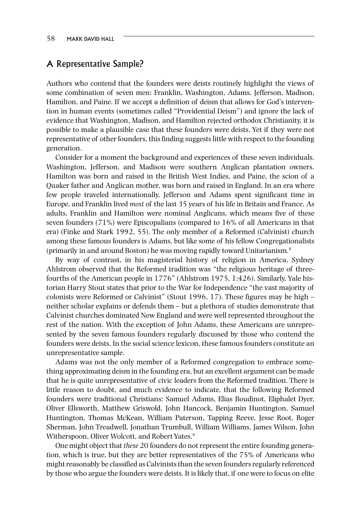## A Representative Sample?

Authors who contend that the founders were deists routinely highlight the views of some combination of seven men: Franklin, Washington, Adams, Jefferson, Madison, Hamilton, and Paine. If we accept a definition of deism that allows for God's intervention in human events (sometimes called "Providential Deism") and ignore the lack of evidence that Washington, Madison, and Hamilton rejected orthodox Christianity, it is possible to make a plausible case that these founders were deists. Yet if they were not representative of other founders, this finding suggests little with respect to the founding generation.

Consider for a moment the background and experiences of these seven individuals. Washington, Jefferson, and Madison were southern Anglican plantation owners. Hamilton was born and raised in the British West Indies, and Paine, the scion of a Quaker father and Anglican mother, was born and raised in England. In an era where few people traveled internationally, Jefferson and Adams spent significant time in Europe, and Franklin lived *most* of the last 35 years of his life in Britain and France. As adults, Franklin and Hamilton were nominal Anglicans, which means five of these seven founders (71%) were Episcopalians (compared to 16% of all Americans in that era) (Finke and Stark 1992, 55). The only member of a Reformed (Calvinist) church among these famous founders is Adams, but like some of his fellow Congregationalists (primarily in and around Boston) he was moving rapidly toward Unitarianism.<sup>8</sup>

By way of contrast, in his magisterial history of religion in America, Sydney Ahlstrom observed that the Reformed tradition was "the religious heritage of three‐ fourths of the American people in 1776" (Ahlstrom 1975, 1:426). Similarly, Yale historian Harry Stout states that prior to the War for Independence "the vast majority of colonists were Reformed or Calvinist" (Stout 1996, 17). These figures may be high – neither scholar explains or defends them – but a plethora of studies demonstrate that Calvinist churches dominated New England and were well represented throughout the rest of the nation. With the exception of John Adams, these Americans are unrepresented by the seven famous founders regularly discussed by those who contend the founders were deists. In the social science lexicon, these famous founders constitute an unrepresentative sample.

Adams was not the only member of a Reformed congregation to embrace something approximating deism in the founding era, but an excellent argument can be made that he is quite unrepresentative of civic leaders from the Reformed tradition. There is little reason to doubt, and much evidence to indicate, that the following Reformed founders were traditional Christians: Samuel Adams, Elias Boudinot, Eliphalet Dyer, Oliver Ellsworth, Matthew Griswold, John Hancock, Benjamin Huntington, Samuel Huntington, Thomas McKean, William Paterson, Tapping Reeve, Jesse Root, Roger Sherman, John Treadwell, Jonathan Trumbull, William Williams, James Wilson, John Witherspoon, Oliver Wolcott, and Robert Yates.<sup>9</sup>

One might object that *these* 20 founders do not represent the entire founding generation, which is true, but they are better representatives of the 75% of Americans who might reasonably be classified as Calvinists than the seven founders regularly referenced by those who argue the founders were deists. It is likely that, if one were to focus on elite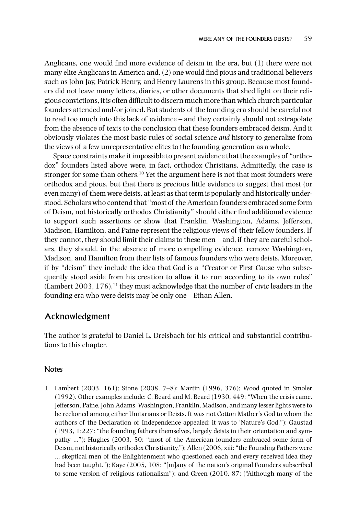Anglicans, one would find more evidence of deism in the era, but (1) there were not many elite Anglicans in America and, (2) one would find pious and traditional believers such as John Jay, Patrick Henry, and Henry Laurens in this group. Because most founders did not leave many letters, diaries, or other documents that shed light on their religious convictions, it is often difficult to discern much more than which church particular founders attended and/or joined. But students of the founding era should be careful not to read too much into this lack of evidence – and they certainly should not extrapolate from the absence of texts to the conclusion that these founders embraced deism. And it obviously violates the most basic rules of social science *and* history to generalize from the views of a few unrepresentative elites to the founding generation as a whole.

Space constraints make it impossible to present evidence that the examples of "orthodox" founders listed above were, in fact, orthodox Christians. Admittedly, the case is stronger for some than others.10 Yet the argument here is not that most founders were orthodox and pious, but that there is precious little evidence to suggest that most (or even many) of them were deists, at least as that term is popularly and historically understood. Scholars who contend that "most of the American founders embraced some form of Deism, not historically orthodox Christianity" should either find additional evidence to support such assertions or show that Franklin, Washington, Adams, Jefferson, Madison, Hamilton, and Paine represent the religious views of their fellow founders. If they cannot, they should limit their claims to these men – and, if they are careful scholars, they should, in the absence of more compelling evidence, remove Washington, Madison, and Hamilton from their lists of famous founders who were deists. Moreover, if by "deism" they include the idea that God is a "Creator or First Cause who subsequently stood aside from his creation to allow it to run according to its own rules" (Lambert 2003,  $176$ ),<sup>11</sup> they must acknowledge that the number of civic leaders in the founding era who were deists may be only one – Ethan Allen.

## Acknowledgment

The author is grateful to Daniel L. Dreisbach for his critical and substantial contributions to this chapter.

#### **Notes**

1 Lambert (2003, 161); Stone (2008, 7–8); Martin (1996, 376); Wood quoted in Smoler (1992). Other examples include: C. Beard and M. Beard (1930, 449: "When the crisis came, Jefferson, Paine, John Adams, Washington, Franklin, Madison, and many lesser lights were to be reckoned among either Unitarians or Deists. It was not Cotton Mather's God to whom the authors of the Declaration of Independence appealed; it was to 'Nature's God."); Gaustad (1993, 1:227: "the founding fathers themselves, largely deists in their orientation and sympathy …"); Hughes (2003, 50: "most of the American founders embraced some form of Deism, not historically orthodox Christianity."); Allen (2006, xiii: "the Founding Fathers were … skeptical men of the Enlightenment who questioned each and every received idea they had been taught."); Kaye (2005, 108: "[m]any of the nation's original Founders subscribed to some version of religious rationalism"); and Green (2010, 87: ("Although many of the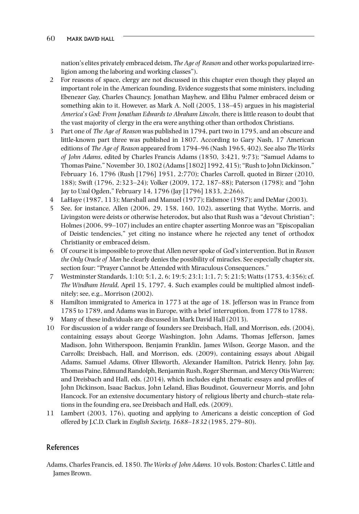nation's elites privately embraced deism, *The Age of Reason* and other works popularized irreligion among the laboring and working classes").

- 2 For reasons of space, clergy are not discussed in this chapter even though they played an important role in the American founding. Evidence suggests that some ministers, including Ebenezer Gay, Charles Chauncy, Jonathan Mayhew, and Elihu Palmer embraced deism or something akin to it. However, as Mark A. Noll (2005, 138–45) argues in his magisterial *America*'*s God: From Jonathan Edwards to Abraham Lincoln*, there is little reason to doubt that the vast majority of clergy in the era were anything other than orthodox Christians.
- 3 Part one of *The Age of Reason* was published in 1794, part two in 1795, and an obscure and little-known part three was published in 1807. According to Gary Nash, 17 American editions of *The Age of Reason* appeared from 1794–96 (Nash 1965, 402). See also *The Works of John Adams*, edited by Charles Francis Adams (1850, 3:421, 9:73); "Samuel Adams to Thomas Paine," November 30, 1802 (Adams [1802] 1992, 415); "Rush to John Dickinson," February 16, 1796 (Rush [1796] 1951, 2:770); Charles Carroll, quoted in Birzer (2010, 188); Swift (1796, 2:323–24); Volker (2009, 172, 187–88); Paterson (1798); and "John Jay to Uzal Ogden," February 14, 1796 (Jay [1796] 1833, 2:266).
- 4 LaHaye (1987, 113); Marshall and Manuel (1977); Eidsmoe (1987); and DeMar (2003).
- 5 See, for instance, Allen (2006, 29, 158, 160, 102), asserting that Wythe, Morris, and Livingston were deists or otherwise heterodox, but also that Rush was a "devout Christian"; Holmes (2006, 99–107) includes an entire chapter asserting Monroe was an "Episcopalian of Deistic tendencies," yet citing no instance where he rejected any tenet of orthodox Christianity or embraced deism.
- 6 Of course it is impossible to prove that Allen never spoke of God's intervention. But in *Reason the Only Oracle of Man* he clearly denies the possibility of miracles. See especially chapter six, section four: "Prayer Cannot be Attended with Miraculous Consequences."
- 7 Westminster Standards, 1:10; 5:1, 2, 6; 19:5; 23:1; 1:1, 7; 5; 21:5; Watts (1753, 4:356); cf. *The Windham Herald*, April 15, 1797, 4. Such examples could be multiplied almost indefinitely; see, e.g., Morrison (2002).
- 8 Hamilton immigrated to America in 1773 at the age of 18. Jefferson was in France from 1785 to 1789, and Adams was in Europe, with a brief interruption, from 1778 to 1788.
- 9 Many of these individuals are discussed in Mark David Hall (2013).
- 10 For discussion of a wider range of founders see Dreisbach, Hall, and Morrison, eds. (2004), containing essays about George Washington, John Adams, Thomas Jefferson, James Madison, John Witherspoon, Benjamin Franklin, James Wilson, George Mason, and the Carrolls; Dreisbach, Hall, and Morrison, eds. (2009), containing essays about Abigail Adams, Samuel Adams, Oliver Ellsworth, Alexander Hamilton, Patrick Henry, John Jay, Thomas Paine, Edmund Randolph, Benjamin Rush, Roger Sherman, and Mercy Otis Warren; and Dreisbach and Hall, eds. (2014), which includes eight thematic essays and profiles of John Dickinson, Isaac Backus, John Leland, Elias Boudinot, Gouverneur Morris, and John Hancock. For an extensive documentary history of religious liberty and church–state relations in the founding era, see Dreisbach and Hall, eds. (2009).
- 11 Lambert (2003, 176), quoting and applying to Americans a deistic conception of God offered by J.C.D. Clark in *English Society, 1688–1832* (1985, 279–80).

#### References

Adams, Charles Francis, ed. 1850. *The Works of John Adams*. 10 vols. Boston: Charles C. Little and James Brown.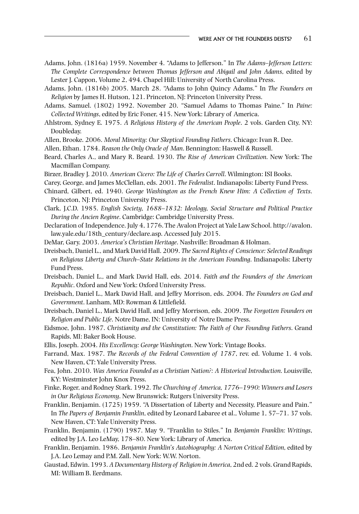- Adams, John. (1816a) 1959. November 4. "Adams to Jefferson." In *The Adams–Jefferson Letters: The Complete Correspondence between Thomas Jefferson and Abigail and John Adams*, edited by Lester J. Cappon, Volume 2, 494. Chapel Hill: University of North Carolina Press.
- Adams, John. (1816b) 2005. March 28. "Adams to John Quincy Adams." In *The Founders on Religion* by James H. Hutson, 121. Princeton, NJ: Princeton University Press.
- Adams, Samuel. (1802) 1992. November 20. "Samuel Adams to Thomas Paine." In *Paine: Collected Writings*, edited by Eric Foner, 415. New York: Library of America.
- Ahlstrom, Sydney E. 1975. *A Religious History of the American People*. 2 vols. Garden City, NY: Doubleday.
- Allen, Brooke. 2006. *Moral Minority: Our Skeptical Founding Fathers*. Chicago: Ivan R. Dee.
- Allen, Ethan. 1784. *Reason the Only Oracle of Man*. Bennington: Haswell & Russell.
- Beard, Charles A., and Mary R. Beard. 1930. *The Rise of American Civilization*. New York: The Macmillan Company.
- Birzer, Bradley J. 2010. *American Cicero: The Life of Charles Carroll*. Wilmington: ISI Books.
- Carey, George, and James McClellan, eds. 2001. *The Federalist*. Indianapolis: Liberty Fund Press.
- Chinard, Gilbert, ed. 1940. *George Washington as the French Knew Him: A Collection of Texts*. Princeton, NJ: Princeton University Press.
- Clark, J.C.D. 1985. *English Society, 1688–1832: Ideology, Social Structure and Political Practice During the Ancien Regime*. Cambridge: Cambridge University Press.
- Declaration of Independence. July 4, 1776. The Avalon Project at Yale Law School. http://avalon. law.yale.edu/18th\_century/declare.asp. Accessed July 2015.
- DeMar, Gary. 2003. *America's Christian Heritage*. Nashville: Broadman & Holman.
- Dreisbach, Daniel L., and Mark David Hall. 2009. *The Sacred Rights of Conscience: Selected Readings on Religious Liberty and Church–State Relations in the American Founding*. Indianapolis: Liberty Fund Press.
- Dreisbach, Daniel L., and Mark David Hall, eds. 2014. *Faith and the Founders of the American Republic*. Oxford and New York: Oxford University Press.
- Dreisbach, Daniel L., Mark David Hall, and Jeffry Morrison, eds. 2004. *The Founders on God and Government*. Lanham, MD: Rowman & Littlefield.
- Dreisbach, Daniel L., Mark David Hall, and Jeffry Morrison, eds. 2009. *The Forgotten Founders on Religion and Public Life*. Notre Dame, IN: University of Notre Dame Press.
- Eidsmoe, John. 1987. *Christianity and the Constitution: The Faith of Our Founding Fathers*. Grand Rapids, MI: Baker Book House.
- Ellis, Joseph. 2004. *His Excellency: George Washington*. New York: Vintage Books.
- Farrand, Max. 1987. *The Records of the Federal Convention of 1787*, rev. ed. Volume 1. 4 vols. New Haven, CT: Yale University Press.
- Fea, John. 2010. *Was America Founded as a Christian Nation?: A Historical Introduction*. Louisville, KY: Westminster John Knox Press.
- Finke, Roger, and Rodney Stark. 1992. *The Churching of America, 1776–1990: Winners and Losers in Our Religious Economy*. New Brunswick: Rutgers University Press.
- Franklin, Benjamin. (1725) 1959. "A Dissertation of Liberty and Necessity, Pleasure and Pain." In *The Papers of Benjamin Franklin*, edited by Leonard Labaree et al., Volume 1, 57–71. 37 vols. New Haven, CT: Yale University Press.
- Franklin, Benjamin. (1790) 1987. May 9. "Franklin to Stiles." In *Benjamin Franklin: Writings*, edited by J.A. Leo LeMay, 178–80. New York: Library of America.
- Franklin, Benjamin. 1986. *Benjamin Franklin's Autobiography: A Norton Critical Edition*, edited by J.A. Leo Lemay and P.M. Zall. New York: W.W. Norton.
- Gaustad, Edwin. 1993. *A Documentary History of Religion in America*, 2nd ed. 2 vols. Grand Rapids, MI: William B. Eerdmans.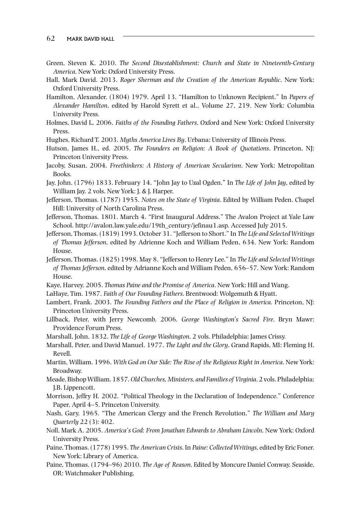- Green, Steven K. 2010. *The Second Disestablishment: Church and State in Nineteenth‐Century America*. New York: Oxford University Press.
- Hall, Mark David. 2013. *Roger Sherman and the Creation of the American Republic*. New York: Oxford University Press.
- Hamilton, Alexander. (1804) 1979. April 13. "Hamilton to Unknown Recipient." In *Papers of Alexander Hamilton*, edited by Harold Syrett et al., Volume 27, 219. New York: Columbia University Press.
- Holmes, David L. 2006. *Faiths of the Founding Fathers*. Oxford and New York: Oxford University Press.
- Hughes, Richard T. 2003. *Myths America Lives By*. Urbana: University of Illinois Press.
- Hutson, James H., ed. 2005. *The Founders on Religion: A Book of Quotations*. Princeton, NJ: Princeton University Press.
- Jacoby, Susan. 2004. *Freethinkers: A History of American Secularism*. New York: Metropolitan Books.
- Jay, John. (1796) 1833. February 14. "John Jay to Uzal Ogden." In *The Life of John Jay*, edited by William Jay. 2 vols. New York: J. & J. Harper.
- Jefferson, Thomas. (1787) 1955. *Notes on the State of Virginia*. Edited by William Peden. Chapel Hill: University of North Carolina Press.
- Jefferson, Thomas. 1801. March 4. "First Inaugural Address." The Avalon Project at Yale Law School. http://avalon.law.yale.edu/19th\_century/jefinau1.asp. Accessed July 2015.
- Jefferson, Thomas. (1819) 1993. October 31. "Jefferson to Short." In *The Life and Selected Writings of Thomas Jefferson*, edited by Adrienne Koch and William Peden, 634. New York: Random House.
- Jefferson, Thomas. (1825) 1998. May 8. "Jefferson to Henry Lee." In *The Life and Selected Writings of Thomas Jefferson*, edited by Adrianne Koch and William Peden, 656–57. New York: Random House.
- Kaye, Harvey. 2005. *Thomas Paine and the Promise of America*. New York: Hill and Wang.
- LaHaye, Tim. 1987. *Faith of Our Founding Fathers*. Brentwood: Wolgemuth & Hyatt.
- Lambert, Frank. 2003. *The Founding Fathers and the Place of Religion in America*. Princeton, NJ: Princeton University Press.
- Lillback, Peter, with Jerry Newcomb. 2006. *George Washington's Sacred Fire*. Bryn Mawr: Providence Forum Press.
- Marshall, John. 1832. *The Life of George Washington*. 2 vols. Philadelphia: James Crissy.
- Marshall, Peter, and David Manuel. 1977. *The Light and the Glory*. Grand Rapids, MI: Fleming H. Revell.
- Martin, William. 1996. *With God on Our Side: The Rise of the Religious Right in America*. New York: Broadway.
- Meade, Bishop William. 1857. *Old Churches, Ministers, and Families of Virginia*. 2 vols. Philadelphia: J.B. Lippencott.
- Morrison, Jeffry H. 2002. "Political Theology in the Declaration of Independence." Conference Paper, April 4–5. Princeton University.
- Nash, Gary. 1965. "The American Clergy and the French Revolution." *The William and Mary Quarterly* 22 (3): 402.
- Noll, Mark A. 2005. *America's God: From Jonathan Edwards to Abraham Lincoln*. New York: Oxford University Press.
- Paine, Thomas. (1778) 1995. *The American Crisis*. In *Paine: Collected Writings*, edited by Eric Foner. New York: Library of America.
- Paine, Thomas. (1794–96) 2010. *The Age of Reason*. Edited by Moncure Daniel Conway. Seaside, OR: Watchmaker Publishing.